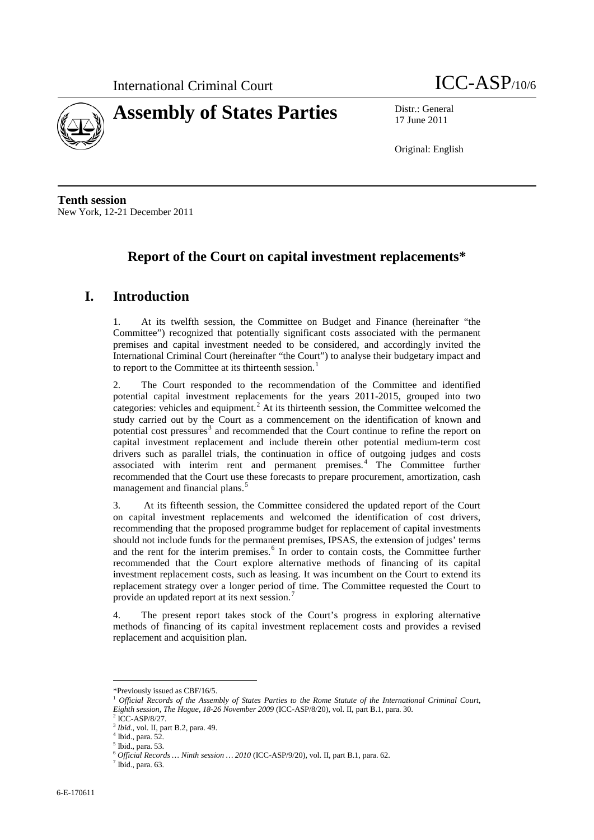

17 June 2011

Original: English

**Tenth session** New York, 12-21 December 2011

# **Report of the Court on capital investment replacements\***

## **I. Introduction**

1. At its twelfth session, the Committee on Budget and Finance (hereinafter "the Committee") recognized that potentially significant costs associated with the permanent premises and capital investment needed to be considered, and accordingly invited the International Criminal Court (hereinafter "the Court") to analyse their budgetary impact and to report to the Committee at its thirteenth session.<sup>[1](#page-0-0)</sup>

2. The Court responded to the recommendation of the Committee and identified potential capital investment replacements for the years 2011-2015, grouped into two categories: vehicles and equipment.<sup>[2](#page-0-1)</sup> At its thirteenth session, the Committee welcomed the study carried out by the Court as a commencement on the identification of known and potential cost pressures<sup>[3](#page-0-2)</sup> and recommended that the Court continue to refine the report on capital investment replacement and include therein other potential medium-term cost drivers such as parallel trials, the continuation in office of outgoing judges and costs associated with interim rent and permanent premises. [4](#page-0-3) The Committee further recommended that the Court use these forecasts to prepare procurement, amortization, cash management and financial plans.<sup>[5](#page-0-4)</sup>

3. At its fifteenth session, the Committee considered the updated report of the Court on capital investment replacements and welcomed the identification of cost drivers, recommending that the proposed programme budget for replacement of capital investments should not include funds for the permanent premises, IPSAS, the extension of judges' terms and the rent for the interim premises.<sup>[6](#page-0-5)</sup> In order to contain costs, the Committee further recommended that the Court explore alternative methods of financing of its capital investment replacement costs, such as leasing. It was incumbent on the Court to extend its replacement strategy over a longer period of time. The Committee requested the Court to provide an updated report at its next session.<sup>[7](#page-0-6)</sup>

4. The present report takes stock of the Court's progress in exploring alternative methods of financing of its capital investment replacement costs and provides a revised replacement and acquisition plan.

 <sup>\*</sup>Previously issued as CBF/16/5.

<span id="page-0-0"></span><sup>&</sup>lt;sup>1</sup> Official Records of the Assembly of States Parties to the Rome Statute of the International Criminal Court, *Eighth session, The Hague, 18-26 November 2009* (ICC-ASP/8/20), vol. II, part B.1, para. 30.

 $2$  ICC-ASP/8/27.

<span id="page-0-3"></span><span id="page-0-2"></span><span id="page-0-1"></span><sup>3</sup> *Ibid.*, vol. II, part B.2, para. 49. <sup>4</sup> Ibid., para. 52.

<sup>5</sup> Ibid., para. 53.

<span id="page-0-6"></span><span id="page-0-5"></span><span id="page-0-4"></span> $^6$   $O\!f\!f\!f\!cial \, Records \dots$   $N\!in\!th$   $s$   $\!ession \dots$   $2010$  (ICC-ASP/9/20), vol. II, part B.1, para. 62.  $^7$  Ibid., para. 63.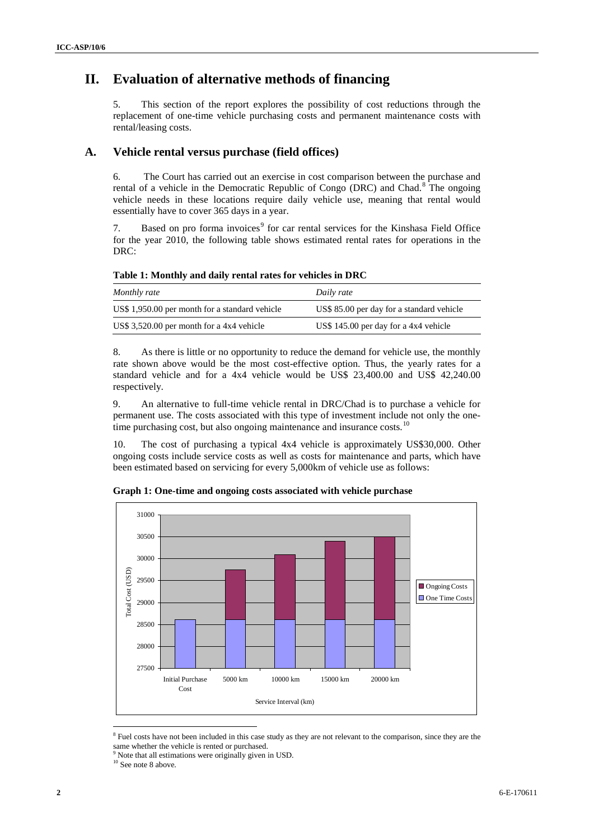# **II. Evaluation of alternative methods of financing**

5. This section of the report explores the possibility of cost reductions through the replacement of one-time vehicle purchasing costs and permanent maintenance costs with rental/leasing costs.

### **A. Vehicle rental versus purchase (field offices)**

6. The Court has carried out an exercise in cost comparison between the purchase and rental of a vehicle in the Democratic Republic of Congo (DRC) and Chad.<sup>[8](#page-1-0)</sup> The ongoing vehicle needs in these locations require daily vehicle use, meaning that rental would essentially have to cover 365 days in a year.

7. Based on pro forma invoices<sup>[9](#page-1-1)</sup> for car rental services for the Kinshasa Field Office for the year 2010, the following table shows estimated rental rates for operations in the DRC:

**Table 1: Monthly and daily rental rates for vehicles in DRC** 

| Monthly rate                                   | Daily rate                                |
|------------------------------------------------|-------------------------------------------|
| US\$ 1,950.00 per month for a standard vehicle | US\$ 85.00 per day for a standard vehicle |
| US\$ 3,520.00 per month for a $4x4$ vehicle    | US\$ 145.00 per day for a $4x4$ vehicle   |

8. As there is little or no opportunity to reduce the demand for vehicle use, the monthly rate shown above would be the most cost-effective option. Thus, the yearly rates for a standard vehicle and for a 4x4 vehicle would be US\$ 23,400.00 and US\$ 42,240.00 respectively.

9. An alternative to full-time vehicle rental in DRC/Chad is to purchase a vehicle for permanent use. The costs associated with this type of investment include not only the one-time purchasing cost, but also ongoing maintenance and insurance costs.<sup>[10](#page-1-2)</sup>

10. The cost of purchasing a typical 4x4 vehicle is approximately US\$30,000. Other ongoing costs include service costs as well as costs for maintenance and parts, which have been estimated based on servicing for every 5,000km of vehicle use as follows:

31000 30500 30000 Total Cost (USD) Total Cost (USD) 29500 Ongoing Costs ■ One Time Costs 29000 28500 28000 27500 Initial Purchase 5000 km 10000 km 15000 km 20000 km Cost Service Interval (km)

**Graph 1: One-time and ongoing costs associated with vehicle purchase**

<span id="page-1-0"></span><sup>&</sup>lt;sup>8</sup> Fuel costs have not been included in this case study as they are not relevant to the comparison, since they are the same whether the vehicle is rented or purchased.

<sup>9</sup> Note that all estimations were originally given in USD.

<span id="page-1-2"></span><span id="page-1-1"></span> $10$  See note 8 above.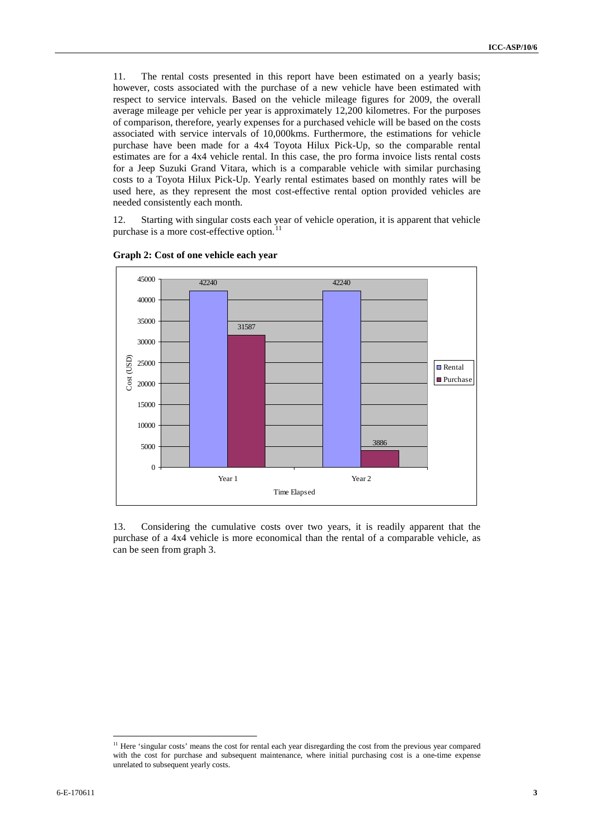11. The rental costs presented in this report have been estimated on a yearly basis; however, costs associated with the purchase of a new vehicle have been estimated with respect to service intervals. Based on the vehicle mileage figures for 2009, the overall average mileage per vehicle per year is approximately 12,200 kilometres. For the purposes of comparison, therefore, yearly expenses for a purchased vehicle will be based on the costs associated with service intervals of 10,000kms. Furthermore, the estimations for vehicle purchase have been made for a 4x4 Toyota Hilux Pick-Up, so the comparable rental estimates are for a 4x4 vehicle rental. In this case, the pro forma invoice lists rental costs for a Jeep Suzuki Grand Vitara, which is a comparable vehicle with similar purchasing costs to a Toyota Hilux Pick-Up. Yearly rental estimates based on monthly rates will be used here, as they represent the most cost-effective rental option provided vehicles are needed consistently each month.

12. Starting with singular costs each year of vehicle operation, it is apparent that vehicle purchase is a more cost-effective option.



#### **Graph 2: Cost of one vehicle each year**

13. Considering the cumulative costs over two years, it is readily apparent that the purchase of a 4x4 vehicle is more economical than the rental of a comparable vehicle, as can be seen from graph 3.

<span id="page-2-0"></span><sup>&</sup>lt;sup>11</sup> Here 'singular costs' means the cost for rental each year disregarding the cost from the previous year compared with the cost for purchase and subsequent maintenance, where initial purchasing cost is a one-time expense unrelated to subsequent yearly costs.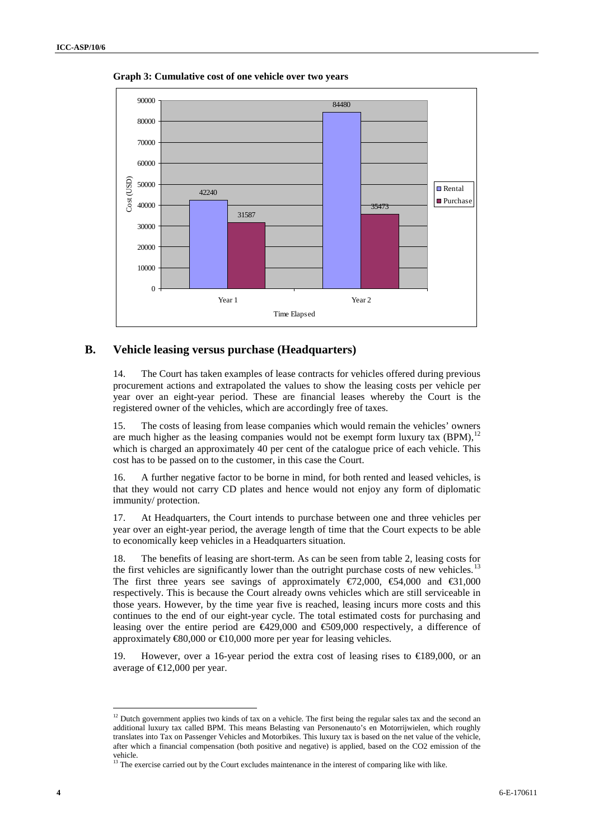

**Graph 3:** 4 **Cumulative cost of one vehicle over two years**

#### **B. Vehicle leasing versus purchase (Headquarters)**

14. The Court has taken examples of lease contracts for vehicles offered during previous procurement actions and extrapolated the values to show the leasing costs per vehicle per year over an eight-year period. These are financial leases whereby the Court is the registered owner of the vehicles, which are accordingly free of taxes.

15. The costs of leasing from lease companies which would remain the vehicles' owners are much higher as the leasing companies would not be exempt form luxury tax  $(BPM)$ ,  $^{12}$  $^{12}$  $^{12}$ which is charged an approximately 40 per cent of the catalogue price of each vehicle. This cost has to be passed on to the customer, in this case the Court.

16. A further negative factor to be borne in mind, for both rented and leased vehicles, is that they would not carry CD plates and hence would not enjoy any form of diplomatic immunity/ protection.

17. At Headquarters, the Court intends to purchase between one and three vehicles per year over an eight-year period, the average length of time that the Court expects to be able to economically keep vehicles in a Headquarters situation.

18. The benefits of leasing are short-term. As can be seen from table 2, leasing costs for the first vehicles are significantly lower than the outright purchase costs of new vehicles.<sup>[13](#page-3-1)</sup> The first three years see savings of approximately  $\epsilon$ 72,000,  $\epsilon$ 54,000 and  $\epsilon$ 31,000 respectively. This is because the Court already owns vehicles which are still serviceable in those years. However, by the time year five is reached, leasing incurs more costs and this continues to the end of our eight-year cycle. The total estimated costs for purchasing and leasing over the entire period are €429,000 and €509,000 respectively, a difference of approximately  $\text{\textsterling}0,000$  or  $\text{\textsterling}10,000$  more per year for leasing vehicles.

19. However, over a 16-year period the extra cost of leasing rises to €189,000, or an average of  $E$ 12,000 per year.

<span id="page-3-0"></span><sup>&</sup>lt;sup>12</sup> Dutch government applies two kinds of tax on a vehicle. The first being the regular sales tax and the second an additional luxury tax called BPM. This means Belasting van Personenauto's en Motorrijwielen, which roughly translates into Tax on Passenger Vehicles and Motorbikes. This luxury tax is based on the net value of the vehicle, after which a financial compensation (both positive and negative) is applied, based on the CO2 emission of the vehicle.<br><sup>13</sup> The exercise carried out by the Court excludes maintenance in the interest of comparing like with like.

<span id="page-3-1"></span>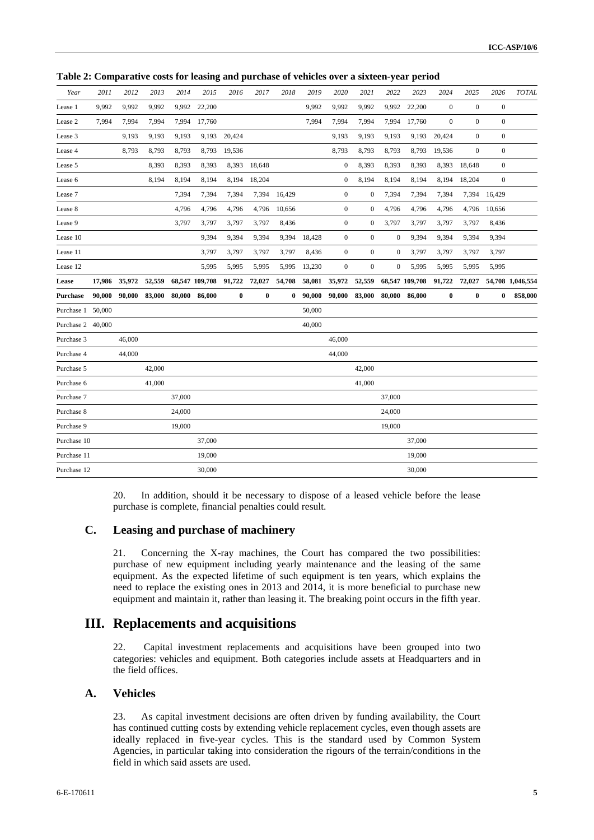| Year              | 2011   | 2012   | 2013   | 2014   | 2015                  | 2016     | 2017         | 2018     | 2019   | 2020             | 2021             | 2022             | 2023           | 2024             | 2025             | 2026             | <b>TOTAL</b>     |
|-------------------|--------|--------|--------|--------|-----------------------|----------|--------------|----------|--------|------------------|------------------|------------------|----------------|------------------|------------------|------------------|------------------|
| Lease 1           | 9,992  | 9,992  | 9,992  | 9,992  | 22,200                |          |              |          | 9,992  | 9,992            | 9,992            | 9,992            | 22,200         | $\boldsymbol{0}$ | $\boldsymbol{0}$ | $\boldsymbol{0}$ |                  |
| Lease 2           | 7.994  | 7,994  | 7,994  | 7,994  | 17,760                |          |              |          | 7,994  | 7,994            | 7,994            | 7,994            | 17,760         | $\mathbf{0}$     | $\boldsymbol{0}$ | $\boldsymbol{0}$ |                  |
| Lease 3           |        | 9,193  | 9,193  | 9,193  | 9,193                 | 20,424   |              |          |        | 9,193            | 9,193            | 9,193            | 9,193          | 20,424           | $\boldsymbol{0}$ | $\boldsymbol{0}$ |                  |
| Lease 4           |        | 8,793  | 8,793  | 8,793  | 8,793                 | 19,536   |              |          |        | 8,793            | 8,793            | 8,793            | 8,793          | 19,536           | $\mathbf{0}$     | $\boldsymbol{0}$ |                  |
| Lease 5           |        |        | 8,393  | 8,393  | 8,393                 |          | 8,393 18,648 |          |        | $\boldsymbol{0}$ | 8,393            | 8,393            | 8,393          | 8,393            | 18,648           | $\boldsymbol{0}$ |                  |
| Lease 6           |        |        | 8,194  | 8,194  | 8,194                 | 8,194    | 18,204       |          |        | $\boldsymbol{0}$ | 8,194            | 8,194            | 8,194          | 8,194            | 18,204           | $\boldsymbol{0}$ |                  |
| Lease 7           |        |        |        | 7,394  | 7,394                 | 7,394    | 7,394        | 16,429   |        | $\boldsymbol{0}$ | $\boldsymbol{0}$ | 7,394            | 7,394          | 7,394            | 7,394            | 16,429           |                  |
| Lease 8           |        |        |        | 4,796  | 4,796                 | 4,796    | 4,796        | 10,656   |        | $\boldsymbol{0}$ | $\boldsymbol{0}$ | 4,796            | 4,796          | 4,796            | 4,796            | 10,656           |                  |
| Lease 9           |        |        |        | 3,797  | 3,797                 | 3,797    | 3,797        | 8,436    |        | $\boldsymbol{0}$ | $\boldsymbol{0}$ | 3,797            | 3,797          | 3,797            | 3,797            | 8,436            |                  |
| Lease 10          |        |        |        |        | 9,394                 | 9,394    | 9,394        | 9,394    | 18,428 | $\mathbf{0}$     | $\boldsymbol{0}$ | $\boldsymbol{0}$ | 9,394          | 9,394            | 9,394            | 9,394            |                  |
| Lease 11          |        |        |        |        | 3,797                 | 3,797    | 3,797        | 3,797    | 8,436  | $\mathbf{0}$     | $\boldsymbol{0}$ | $\boldsymbol{0}$ | 3,797          | 3,797            | 3,797            | 3,797            |                  |
| Lease 12          |        |        |        |        | 5,995                 | 5,995    | 5,995        | 5,995    | 13,230 | $\boldsymbol{0}$ | $\boldsymbol{0}$ | $\boldsymbol{0}$ | 5,995          | 5,995            | 5,995            | 5,995            |                  |
| Lease             | 17,986 | 35,972 | 52,559 |        | 68,547 109,708 91,722 |          | 72,027       | 54,708   |        | 58,081 35,972    | 52,559           |                  | 68,547 109,708 | 91,722           | 72,027           |                  | 54,708 1,046,554 |
| Purchase          | 90,000 | 90,000 | 83,000 | 80,000 | 86,000                | $\bf{0}$ | $\pmb{0}$    | $\bf{0}$ | 90,000 | 90,000           | 83,000           | 80,000           | 86,000         | $\bf{0}$         | $\boldsymbol{0}$ | $\bf{0}$         | 858,000          |
| Purchase 1 50,000 |        |        |        |        |                       |          |              |          | 50,000 |                  |                  |                  |                |                  |                  |                  |                  |
| Purchase 2 40,000 |        |        |        |        |                       |          |              |          | 40,000 |                  |                  |                  |                |                  |                  |                  |                  |
| Purchase 3        |        | 46,000 |        |        |                       |          |              |          |        | 46,000           |                  |                  |                |                  |                  |                  |                  |
| Purchase 4        |        | 44,000 |        |        |                       |          |              |          |        | 44,000           |                  |                  |                |                  |                  |                  |                  |
| Purchase 5        |        |        | 42,000 |        |                       |          |              |          |        |                  | 42,000           |                  |                |                  |                  |                  |                  |
| Purchase 6        |        |        | 41,000 |        |                       |          |              |          |        |                  | 41,000           |                  |                |                  |                  |                  |                  |
| Purchase 7        |        |        |        | 37,000 |                       |          |              |          |        |                  |                  | 37,000           |                |                  |                  |                  |                  |
| Purchase 8        |        |        |        | 24,000 |                       |          |              |          |        |                  |                  | 24,000           |                |                  |                  |                  |                  |
| Purchase 9        |        |        |        | 19,000 |                       |          |              |          |        |                  |                  | 19,000           |                |                  |                  |                  |                  |
| Purchase 10       |        |        |        |        | 37,000                |          |              |          |        |                  |                  |                  | 37,000         |                  |                  |                  |                  |
| Purchase 11       |        |        |        |        | 19,000                |          |              |          |        |                  |                  |                  | 19,000         |                  |                  |                  |                  |
| Purchase 12       |        |        |        |        | 30,000                |          |              |          |        |                  |                  |                  | 30,000         |                  |                  |                  |                  |

**Table 2: Comparative costs for leasing and purchase of vehicles over a sixteen-year period**

20. In addition, should it be necessary to dispose of a leased vehicle before the lease purchase is complete, financial penalties could result.

### **C. Leasing and purchase of machinery**

21. Concerning the X-ray machines, the Court has compared the two possibilities: purchase of new equipment including yearly maintenance and the leasing of the same equipment. As the expected lifetime of such equipment is ten years, which explains the need to replace the existing ones in 2013 and 2014, it is more beneficial to purchase new equipment and maintain it, rather than leasing it. The breaking point occurs in the fifth year.

## **III. Replacements and acquisitions**

22. Capital investment replacements and acquisitions have been grouped into two categories: vehicles and equipment. Both categories include assets at Headquarters and in the field offices.

### **A. Vehicles**

23. As capital investment decisions are often driven by funding availability, the Court has continued cutting costs by extending vehicle replacement cycles, even though assets are ideally replaced in five-year cycles. This is the standard used by Common System Agencies, in particular taking into consideration the rigours of the terrain/conditions in the field in which said assets are used.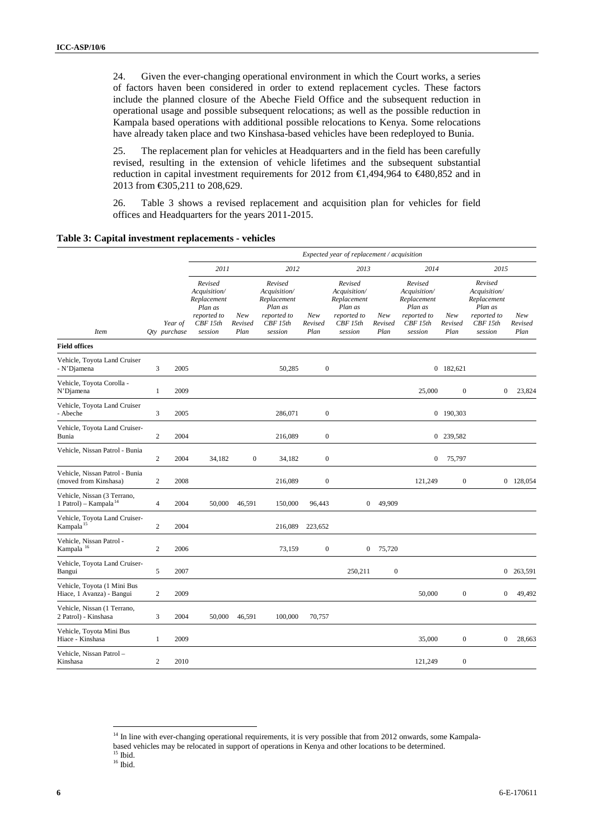24. Given the ever-changing operational environment in which the Court works, a series of factors haven been considered in order to extend replacement cycles. These factors include the planned closure of the Abeche Field Office and the subsequent reduction in operational usage and possible subsequent relocations; as well as the possible reduction in Kampala based operations with additional possible relocations to Kenya. Some relocations have already taken place and two Kinshasa-based vehicles have been redeployed to Bunia.

25. The replacement plan for vehicles at Headquarters and in the field has been carefully revised, resulting in the extension of vehicle lifetimes and the subsequent substantial reduction in capital investment requirements for 2012 from €1,494,964 to €480,852 and in 2013 from €305,211 to 208,629.

26. Table 3 shows a revised replacement and acquisition plan for vehicles for field offices and Headquarters for the years 2011-2015.

| Table 3: Capital investment replacements - vehicles |  |
|-----------------------------------------------------|--|
|                                                     |  |

|                                                                  |                |                         |                                                                                        |                        |                                                                                        |                        | Expected year of replacement / acquisition                                             |                        |                                                                                        |                        |                                                                                        |                        |
|------------------------------------------------------------------|----------------|-------------------------|----------------------------------------------------------------------------------------|------------------------|----------------------------------------------------------------------------------------|------------------------|----------------------------------------------------------------------------------------|------------------------|----------------------------------------------------------------------------------------|------------------------|----------------------------------------------------------------------------------------|------------------------|
|                                                                  |                |                         | 2011                                                                                   |                        | 2012                                                                                   |                        | 2013                                                                                   |                        | 2014                                                                                   |                        | 2015                                                                                   |                        |
| <b>Item</b>                                                      |                | Year of<br>Qty purchase | Revised<br>Acquisition/<br>Replacement<br>Plan as<br>reported to<br>CBF15th<br>session | New<br>Revised<br>Plan | Revised<br>Acquisition/<br>Replacement<br>Plan as<br>reported to<br>CBF15th<br>session | New<br>Revised<br>Plan | Revised<br>Acquisition/<br>Replacement<br>Plan as<br>reported to<br>CBF15th<br>session | New<br>Revised<br>Plan | Revised<br>Acquisition/<br>Replacement<br>Plan as<br>reported to<br>CBF15th<br>session | New<br>Revised<br>Plan | Revised<br>Acquisition/<br>Replacement<br>Plan as<br>reported to<br>CBF15th<br>session | New<br>Revised<br>Plan |
| <b>Field offices</b>                                             |                |                         |                                                                                        |                        |                                                                                        |                        |                                                                                        |                        |                                                                                        |                        |                                                                                        |                        |
| Vehicle, Toyota Land Cruiser<br>- N'Djamena                      | 3              | 2005                    |                                                                                        |                        | 50,285                                                                                 | $\boldsymbol{0}$       |                                                                                        |                        |                                                                                        | 0 182,621              |                                                                                        |                        |
| Vehicle, Toyota Corolla -<br>N'Djamena                           | 1              | 2009                    |                                                                                        |                        |                                                                                        |                        |                                                                                        |                        | 25,000                                                                                 | $\mathbf{0}$           | $\mathbf{0}$                                                                           | 23,824                 |
| Vehicle, Toyota Land Cruiser<br>- Abeche                         | 3              | 2005                    |                                                                                        |                        | 286,071                                                                                | $\boldsymbol{0}$       |                                                                                        |                        |                                                                                        | 0 190,303              |                                                                                        |                        |
| Vehicle, Toyota Land Cruiser-<br>Bunia                           | $\overline{c}$ | 2004                    |                                                                                        |                        | 216,089                                                                                | $\boldsymbol{0}$       |                                                                                        |                        |                                                                                        | 0 239,582              |                                                                                        |                        |
| Vehicle, Nissan Patrol - Bunia                                   | $\overline{c}$ | 2004                    | 34,182                                                                                 | $\boldsymbol{0}$       | 34,182                                                                                 | $\boldsymbol{0}$       |                                                                                        |                        | $\boldsymbol{0}$                                                                       | 75,797                 |                                                                                        |                        |
| Vehicle, Nissan Patrol - Bunia<br>(moved from Kinshasa)          | $\overline{c}$ | 2008                    |                                                                                        |                        | 216,089                                                                                | $\boldsymbol{0}$       |                                                                                        |                        | 121,249                                                                                | $\boldsymbol{0}$       |                                                                                        | 0 128,054              |
| Vehicle, Nissan (3 Terrano,<br>1 Patrol) – Kampala <sup>14</sup> | 4              | 2004                    | 50,000                                                                                 | 46,591                 | 150,000                                                                                | 96,443                 | $\overline{0}$                                                                         | 49,909                 |                                                                                        |                        |                                                                                        |                        |
| Vehicle, Toyota Land Cruiser-<br>Kampala <sup>15</sup>           | $\overline{c}$ | 2004                    |                                                                                        |                        | 216,089                                                                                | 223,652                |                                                                                        |                        |                                                                                        |                        |                                                                                        |                        |
| Vehicle, Nissan Patrol -<br>Kampala $^{\rm 16}$                  | $\overline{c}$ | 2006                    |                                                                                        |                        | 73,159                                                                                 | $\boldsymbol{0}$       | $\boldsymbol{0}$                                                                       | 75,720                 |                                                                                        |                        |                                                                                        |                        |
| Vehicle, Toyota Land Cruiser-<br>Bangui                          | 5              | 2007                    |                                                                                        |                        |                                                                                        |                        | 250,211                                                                                | $\boldsymbol{0}$       |                                                                                        |                        |                                                                                        | 0 263,591              |
| Vehicle, Toyota (1 Mini Bus<br>Hiace, 1 Avanza) - Bangui         | $\overline{c}$ | 2009                    |                                                                                        |                        |                                                                                        |                        |                                                                                        |                        | 50,000                                                                                 | $\boldsymbol{0}$       | $\mathbf{0}$                                                                           | 49,492                 |
| Vehicle, Nissan (1 Terrano,<br>2 Patrol) - Kinshasa              | 3              | 2004                    | 50,000                                                                                 | 46,591                 | 100,000                                                                                | 70,757                 |                                                                                        |                        |                                                                                        |                        |                                                                                        |                        |
| Vehicle, Toyota Mini Bus<br>Hiace - Kinshasa                     | 1              | 2009                    |                                                                                        |                        |                                                                                        |                        |                                                                                        |                        | 35,000                                                                                 | $\boldsymbol{0}$       | $\mathbf{0}$                                                                           | 28,663                 |
| Vehicle, Nissan Patrol -<br>Kinshasa                             | $\mathbf{2}$   | 2010                    |                                                                                        |                        |                                                                                        |                        |                                                                                        |                        | 121,249                                                                                | $\boldsymbol{0}$       |                                                                                        |                        |

<sup>&</sup>lt;sup>14</sup> In line with ever-changing operational requirements, it is very possible that from 2012 onwards, some Kampala-

<span id="page-5-1"></span><span id="page-5-0"></span>based vehicles may be relocated in support of operations in Kenya and other locations to be determined.

<span id="page-5-2"></span> $16$  Ibid.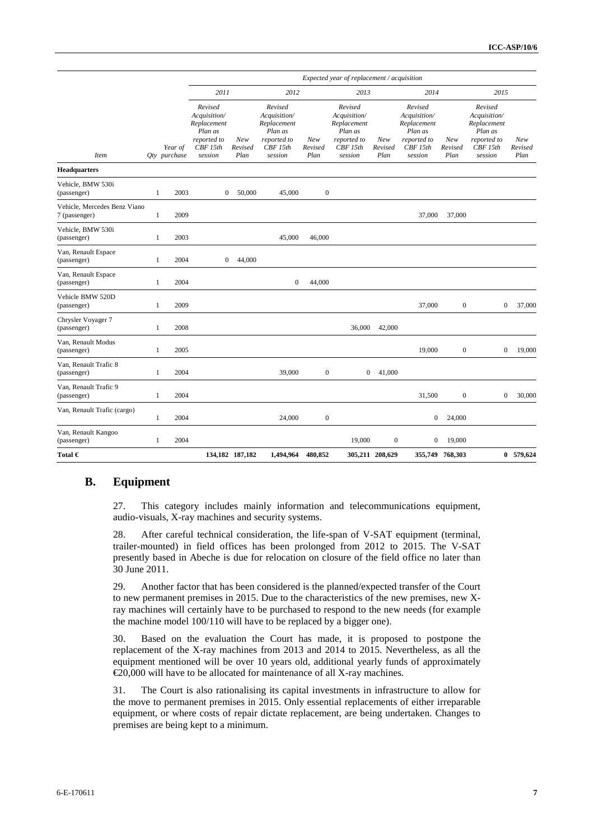|                                               |              |                         |                                                                                         |                        |                                                                                         |                        | Expected year of replacement / acquisition                                              |                        |                                                                                         |                        |                                                                                         |                        |
|-----------------------------------------------|--------------|-------------------------|-----------------------------------------------------------------------------------------|------------------------|-----------------------------------------------------------------------------------------|------------------------|-----------------------------------------------------------------------------------------|------------------------|-----------------------------------------------------------------------------------------|------------------------|-----------------------------------------------------------------------------------------|------------------------|
|                                               |              |                         | 2011                                                                                    |                        | 2012                                                                                    |                        | 2013                                                                                    |                        | 2014                                                                                    |                        | 2015                                                                                    |                        |
| <b>Item</b>                                   |              | Year of<br>Qty purchase | Revised<br>Acquisition/<br>Replacement<br>Plan as<br>reported to<br>CBF 15th<br>session | New<br>Revised<br>Plan | Revised<br>Acquisition/<br>Replacement<br>Plan as<br>reported to<br>CBF 15th<br>session | New<br>Revised<br>Plan | Revised<br>Acquisition/<br>Replacement<br>Plan as<br>reported to<br>CBF 15th<br>session | New<br>Revised<br>Plan | Revised<br>Acquisition/<br>Replacement<br>Plan as<br>reported to<br>CBF 15th<br>session | New<br>Revised<br>Plan | Revised<br>Acquisition/<br>Replacement<br>Plan as<br>reported to<br>CBF 15th<br>session | New<br>Revised<br>Plan |
| <b>Headquarters</b>                           |              |                         |                                                                                         |                        |                                                                                         |                        |                                                                                         |                        |                                                                                         |                        |                                                                                         |                        |
| Vehicle, BMW 530i<br>(passenger)              | $\mathbf{1}$ | 2003                    | $\boldsymbol{0}$                                                                        | 50,000                 | 45,000                                                                                  | $\boldsymbol{0}$       |                                                                                         |                        |                                                                                         |                        |                                                                                         |                        |
| Vehicle, Mercedes Benz Viano<br>7 (passenger) | 1            | 2009                    |                                                                                         |                        |                                                                                         |                        |                                                                                         |                        | 37,000                                                                                  | 37,000                 |                                                                                         |                        |
| Vehicle, BMW 530i<br>(passenger)              | $\mathbf{1}$ | 2003                    |                                                                                         |                        | 45,000                                                                                  | 46,000                 |                                                                                         |                        |                                                                                         |                        |                                                                                         |                        |
| Van, Renault Espace<br>(passenger)            | $\mathbf{1}$ | 2004                    | $\mathbf{0}$                                                                            | 44,000                 |                                                                                         |                        |                                                                                         |                        |                                                                                         |                        |                                                                                         |                        |
| Van, Renault Espace<br>(passenger)            | 1            | 2004                    |                                                                                         |                        | $\boldsymbol{0}$                                                                        | 44,000                 |                                                                                         |                        |                                                                                         |                        |                                                                                         |                        |
| Vehicle BMW 520D<br>(passenger)               | 1            | 2009                    |                                                                                         |                        |                                                                                         |                        |                                                                                         |                        | 37,000                                                                                  | $\boldsymbol{0}$       | $\mathbf{0}$                                                                            | 37,000                 |
| Chrysler Voyager 7<br>(passenger)             | 1            | 2008                    |                                                                                         |                        |                                                                                         |                        | 36,000                                                                                  | 42,000                 |                                                                                         |                        |                                                                                         |                        |
| Van, Renault Modus<br>(passenger)             | 1            | 2005                    |                                                                                         |                        |                                                                                         |                        |                                                                                         |                        | 19,000                                                                                  | $\boldsymbol{0}$       | $\mathbf{0}$                                                                            | 19,000                 |
| Van, Renault Trafic 8<br>(passenger)          | 1            | 2004                    |                                                                                         |                        | 39,000                                                                                  | $\boldsymbol{0}$       | $\mathbf{0}$                                                                            | 41,000                 |                                                                                         |                        |                                                                                         |                        |
| Van, Renault Trafic 9<br>(passenger)          | 1            | 2004                    |                                                                                         |                        |                                                                                         |                        |                                                                                         |                        | 31,500                                                                                  | $\boldsymbol{0}$       | $\mathbf{0}$                                                                            | 30,000                 |
| Van, Renault Trafic (cargo)                   | 1            | 2004                    |                                                                                         |                        | 24,000                                                                                  | $\boldsymbol{0}$       |                                                                                         |                        | $\boldsymbol{0}$                                                                        | 24,000                 |                                                                                         |                        |
| Van, Renault Kangoo<br>(passenger)            | 1            | 2004                    |                                                                                         |                        |                                                                                         |                        | 19,000                                                                                  | $\boldsymbol{0}$       | $\overline{0}$                                                                          | 19,000                 |                                                                                         |                        |
| Total $\bm{\epsilon}$                         |              |                         |                                                                                         | 134,182 187,182        | 1.494.964                                                                               | 480.852                |                                                                                         | 305,211 208,629        |                                                                                         | 355,749 768,303        |                                                                                         | 0 579,624              |

#### **B. Equipment**

27. This category includes mainly information and telecommunications equipment, audio-visuals, X-ray machines and security systems.

28. After careful technical consideration, the life-span of V-SAT equipment (terminal, trailer-mounted) in field offices has been prolonged from 2012 to 2015. The V-SAT presently based in Abeche is due for relocation on closure of the field office no later than 30 June 2011.

29. Another factor that has been considered is the planned/expected transfer of the Court to new permanent premises in 2015. Due to the characteristics of the new premises, new Xray machines will certainly have to be purchased to respond to the new needs (for example the machine model 100/110 will have to be replaced by a bigger one).

30. Based on the evaluation the Court has made, it is proposed to postpone the replacement of the X-ray machines from 2013 and 2014 to 2015. Nevertheless, as all the equipment mentioned will be over 10 years old, additional yearly funds of approximately €20,000 will have to be allocated for maintenance of all X-ray machines.

31. The Court is also rationalising its capital investments in infrastructure to allow for the move to permanent premises in 2015. Only essential replacements of either irreparable equipment, or where costs of repair dictate replacement, are being undertaken. Changes to premises are being kept to a minimum.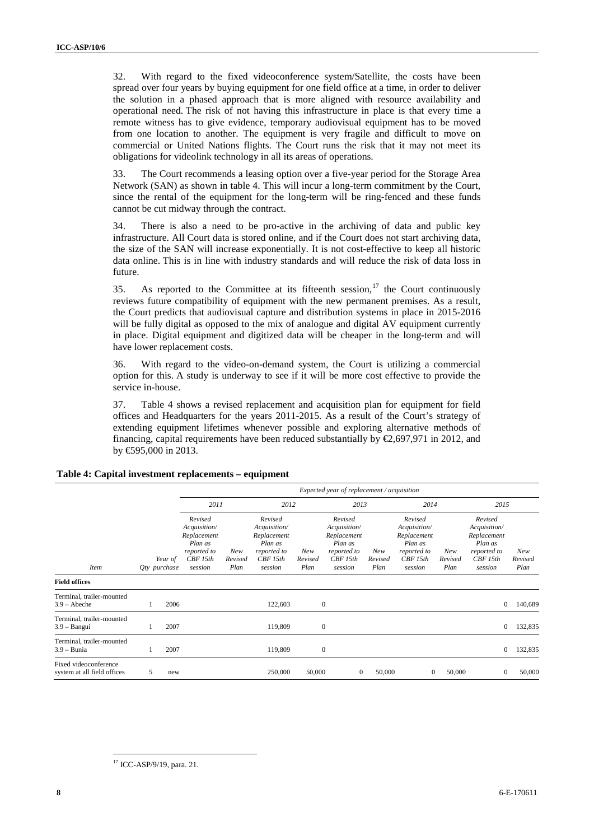32. With regard to the fixed videoconference system/Satellite, the costs have been spread over four years by buying equipment for one field office at a time, in order to deliver the solution in a phased approach that is more aligned with resource availability and operational need. The risk of not having this infrastructure in place is that every time a remote witness has to give evidence, temporary audiovisual equipment has to be moved from one location to another. The equipment is very fragile and difficult to move on commercial or United Nations flights. The Court runs the risk that it may not meet its obligations for videolink technology in all its areas of operations.

33. The Court recommends a leasing option over a five-year period for the Storage Area Network (SAN) as shown in table 4. This will incur a long-term commitment by the Court, since the rental of the equipment for the long-term will be ring-fenced and these funds cannot be cut midway through the contract.

34. There is also a need to be pro-active in the archiving of data and public key infrastructure. All Court data is stored online, and if the Court does not start archiving data, the size of the SAN will increase exponentially. It is not cost-effective to keep all historic data online. This is in line with industry standards and will reduce the risk of data loss in future.

35. As reported to the Committee at its fifteenth session,<sup>[17](#page-7-0)</sup> the Court continuously reviews future compatibility of equipment with the new permanent premises. As a result, the Court predicts that audiovisual capture and distribution systems in place in 2015-2016 will be fully digital as opposed to the mix of analogue and digital AV equipment currently in place. Digital equipment and digitized data will be cheaper in the long-term and will have lower replacement costs.

36. With regard to the video-on-demand system, the Court is utilizing a commercial option for this. A study is underway to see if it will be more cost effective to provide the service in-house.

37. Table 4 shows a revised replacement and acquisition plan for equipment for field offices and Headquarters for the years 2011-2015. As a result of the Court's strategy of extending equipment lifetimes whenever possible and exploring alternative methods of financing, capital requirements have been reduced substantially by  $\epsilon$ ,697,971 in 2012, and by €595,000 in 2013.

|                                                      |   |                         | Expected year of replacement / acquisition                                              |                        |                                                                                        |                        |                                                                                        |                        |                                                                                        |                        |                                                                                        |                        |  |  |
|------------------------------------------------------|---|-------------------------|-----------------------------------------------------------------------------------------|------------------------|----------------------------------------------------------------------------------------|------------------------|----------------------------------------------------------------------------------------|------------------------|----------------------------------------------------------------------------------------|------------------------|----------------------------------------------------------------------------------------|------------------------|--|--|
|                                                      |   |                         | 2011                                                                                    |                        | 2012                                                                                   |                        | 2013                                                                                   |                        | 2014                                                                                   |                        | 2015                                                                                   |                        |  |  |
| <i>Item</i>                                          |   | Year of<br>Qty purchase | Revised<br>Acquisition/<br>Replacement<br>Plan as<br>reported to<br>CBF 15th<br>session | New<br>Revised<br>Plan | Revised<br>Acquisition/<br>Replacement<br>Plan as<br>reported to<br>CBF15th<br>session | New<br>Revised<br>Plan | Revised<br>Acquisition/<br>Replacement<br>Plan as<br>reported to<br>CBF15th<br>session | New<br>Revised<br>Plan | Revised<br>Acquisition/<br>Replacement<br>Plan as<br>reported to<br>CBF15th<br>session | New<br>Revised<br>Plan | Revised<br>Acquisition/<br>Replacement<br>Plan as<br>reported to<br>CBF15th<br>session | New<br>Revised<br>Plan |  |  |
| <b>Field offices</b>                                 |   |                         |                                                                                         |                        |                                                                                        |                        |                                                                                        |                        |                                                                                        |                        |                                                                                        |                        |  |  |
| Terminal, trailer-mounted<br>$3.9 - \text{Abeche}$   | 1 | 2006                    |                                                                                         |                        | 122,603                                                                                |                        | $\boldsymbol{0}$                                                                       |                        |                                                                                        |                        | $\mathbf{0}$                                                                           | 140,689                |  |  |
| Terminal, trailer-mounted<br>$3.9 -$ Bangui          | 1 | 2007                    |                                                                                         |                        | 119,809                                                                                |                        | $\boldsymbol{0}$                                                                       |                        |                                                                                        |                        | $\mathbf{0}$                                                                           | 132,835                |  |  |
| Terminal, trailer-mounted<br>$3.9 - B$ unia          | 1 | 2007                    |                                                                                         |                        | 119,809                                                                                |                        | $\boldsymbol{0}$                                                                       |                        |                                                                                        |                        | $\mathbf{0}$                                                                           | 132,835                |  |  |
| Fixed videoconference<br>system at all field offices | 5 | new                     |                                                                                         |                        | 250,000                                                                                | 50,000                 | $\mathbf{0}$                                                                           | 50,000                 | $\overline{0}$                                                                         | 50,000                 | $\mathbf{0}$                                                                           | 50,000                 |  |  |

#### **Table 4: Capital investment replacements – equipment**

<span id="page-7-0"></span> <sup>17</sup> ICC-ASP/9/19, para. 21.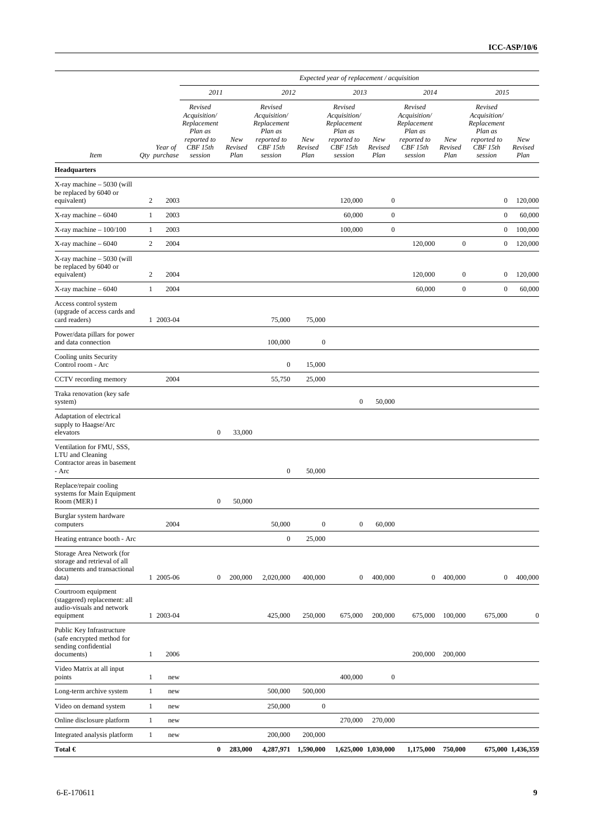|                                                                                                   |                         |           |                                                                                         |                        |                                                                                         |                        | Expected year of replacement / acquisition                                              |                        |                                                                                         |                        |                                                                                         |                        |
|---------------------------------------------------------------------------------------------------|-------------------------|-----------|-----------------------------------------------------------------------------------------|------------------------|-----------------------------------------------------------------------------------------|------------------------|-----------------------------------------------------------------------------------------|------------------------|-----------------------------------------------------------------------------------------|------------------------|-----------------------------------------------------------------------------------------|------------------------|
|                                                                                                   |                         |           | 2011                                                                                    |                        | 2012                                                                                    |                        | 2013                                                                                    |                        | 2014                                                                                    |                        | 2015                                                                                    |                        |
| <b>Item</b>                                                                                       | Year of<br>Qty purchase |           | Revised<br>Acquisition/<br>Replacement<br>Plan as<br>reported to<br>CBF 15th<br>session | New<br>Revised<br>Plan | Revised<br>Acquisition/<br>Replacement<br>Plan as<br>reported to<br>CBF 15th<br>session | New<br>Revised<br>Plan | Revised<br>Acquisition/<br>Replacement<br>Plan as<br>reported to<br>CBF 15th<br>session | New<br>Revised<br>Plan | Revised<br>Acquisition/<br>Replacement<br>Plan as<br>reported to<br>CBF 15th<br>session | New<br>Revised<br>Plan | Revised<br>Acquisition/<br>Replacement<br>Plan as<br>reported to<br>CBF 15th<br>session | New<br>Revised<br>Plan |
| <b>Headquarters</b>                                                                               |                         |           |                                                                                         |                        |                                                                                         |                        |                                                                                         |                        |                                                                                         |                        |                                                                                         |                        |
| X-ray machine - 5030 (will<br>be replaced by 6040 or<br>equivalent)                               | $\boldsymbol{2}$        | 2003      |                                                                                         |                        |                                                                                         |                        | 120,000                                                                                 | $\boldsymbol{0}$       |                                                                                         |                        | $\boldsymbol{0}$                                                                        | 120,000                |
| X-ray machine – 6040                                                                              | $\mathbf{1}$            | 2003      |                                                                                         |                        |                                                                                         |                        | 60,000                                                                                  | $\boldsymbol{0}$       |                                                                                         |                        | $\boldsymbol{0}$                                                                        | 60,000                 |
| $X$ -ray machine $-100/100$                                                                       | $\mathbf{1}$            | 2003      |                                                                                         |                        |                                                                                         |                        | 100,000                                                                                 | $\boldsymbol{0}$       |                                                                                         |                        | $\boldsymbol{0}$                                                                        | 100,000                |
| X-ray machine – 6040                                                                              | $\sqrt{2}$              | 2004      |                                                                                         |                        |                                                                                         |                        |                                                                                         |                        | 120,000                                                                                 | $\boldsymbol{0}$       | $\boldsymbol{0}$                                                                        | 120,000                |
| $X$ -ray machine $-5030$ (will<br>be replaced by 6040 or<br>equivalent)                           | $\boldsymbol{2}$        | 2004      |                                                                                         |                        |                                                                                         |                        |                                                                                         |                        | 120,000                                                                                 | $\boldsymbol{0}$       | $\boldsymbol{0}$                                                                        | 120,000                |
| X-ray machine - 6040                                                                              | $\mathbf{1}$            | 2004      |                                                                                         |                        |                                                                                         |                        |                                                                                         |                        | 60,000                                                                                  | $\boldsymbol{0}$       | $\boldsymbol{0}$                                                                        | 60,000                 |
| Access control system<br>(upgrade of access cards and<br>card readers)                            |                         | 1 2003-04 |                                                                                         |                        | 75,000                                                                                  | 75,000                 |                                                                                         |                        |                                                                                         |                        |                                                                                         |                        |
| Power/data pillars for power<br>and data connection                                               |                         |           |                                                                                         |                        | 100,000                                                                                 | $\boldsymbol{0}$       |                                                                                         |                        |                                                                                         |                        |                                                                                         |                        |
| Cooling units Security<br>Control room - Arc                                                      |                         |           |                                                                                         |                        | $\boldsymbol{0}$                                                                        | 15,000                 |                                                                                         |                        |                                                                                         |                        |                                                                                         |                        |
| CCTV recording memory                                                                             |                         | 2004      |                                                                                         |                        | 55,750                                                                                  | 25,000                 |                                                                                         |                        |                                                                                         |                        |                                                                                         |                        |
| Traka renovation (key safe<br>system)                                                             |                         |           |                                                                                         |                        |                                                                                         |                        | $\bf{0}$                                                                                | 50,000                 |                                                                                         |                        |                                                                                         |                        |
| Adaptation of electrical<br>supply to Haagse/Arc<br>elevators                                     |                         |           | $\boldsymbol{0}$                                                                        | 33,000                 |                                                                                         |                        |                                                                                         |                        |                                                                                         |                        |                                                                                         |                        |
| Ventilation for FMU, SSS,<br>LTU and Cleaning<br>Contractor areas in basement<br>- Arc            |                         |           |                                                                                         |                        | $\boldsymbol{0}$                                                                        | 50,000                 |                                                                                         |                        |                                                                                         |                        |                                                                                         |                        |
| Replace/repair cooling<br>systems for Main Equipment<br>Room (MER) I                              |                         |           | $\boldsymbol{0}$                                                                        | 50,000                 |                                                                                         |                        |                                                                                         |                        |                                                                                         |                        |                                                                                         |                        |
| Burglar system hardware<br>computers                                                              |                         | 2004      |                                                                                         |                        | 50,000                                                                                  | $\boldsymbol{0}$       | $\boldsymbol{0}$                                                                        | 60,000                 |                                                                                         |                        |                                                                                         |                        |
| Heating entrance booth - Arc                                                                      |                         |           |                                                                                         |                        | $\boldsymbol{0}$                                                                        | 25,000                 |                                                                                         |                        |                                                                                         |                        |                                                                                         |                        |
| Storage Area Network (for<br>storage and retrieval of all<br>documents and transactional<br>data) |                         | 1 2005-06 | $\boldsymbol{0}$                                                                        | 200,000                | 2,020,000                                                                               | 400,000                | $\bf{0}$                                                                                | 400,000                | $\boldsymbol{0}$                                                                        | 400,000                | $\boldsymbol{0}$                                                                        | 400,000                |
| Courtroom equipment<br>(staggered) replacement: all<br>audio-visuals and network<br>equipment     |                         | 1 2003-04 |                                                                                         |                        | 425,000                                                                                 | 250,000                | 675,000                                                                                 | 200,000                | 675,000                                                                                 | 100,000                | 675,000                                                                                 | $\boldsymbol{0}$       |
| Public Key Infrastructure<br>(safe encrypted method for<br>sending confidential<br>documents)     | 1                       | 2006      |                                                                                         |                        |                                                                                         |                        |                                                                                         |                        | 200,000                                                                                 | 200,000                |                                                                                         |                        |
| Video Matrix at all input<br>points                                                               | 1                       | new       |                                                                                         |                        |                                                                                         |                        | 400,000                                                                                 | $\boldsymbol{0}$       |                                                                                         |                        |                                                                                         |                        |
| Long-term archive system                                                                          | $\mathbf{1}$            | new       |                                                                                         |                        | 500,000                                                                                 | 500,000                |                                                                                         |                        |                                                                                         |                        |                                                                                         |                        |
| Video on demand system                                                                            | 1                       | new       |                                                                                         |                        | 250,000                                                                                 | $\boldsymbol{0}$       |                                                                                         |                        |                                                                                         |                        |                                                                                         |                        |
| Online disclosure platform                                                                        | $\mathbf{1}$            | new       |                                                                                         |                        |                                                                                         |                        | 270,000                                                                                 | 270,000                |                                                                                         |                        |                                                                                         |                        |
| Integrated analysis platform                                                                      | $\mathbf{1}$            | new       |                                                                                         |                        | 200,000                                                                                 | 200,000                |                                                                                         |                        |                                                                                         |                        |                                                                                         |                        |
| Total $\bm{\epsilon}$                                                                             |                         |           | 0                                                                                       | 283,000                | 4,287,971                                                                               | 1,590,000              |                                                                                         | 1,625,000 1,030,000    | 1,175,000                                                                               | 750,000                |                                                                                         | 675,000 1,436,359      |